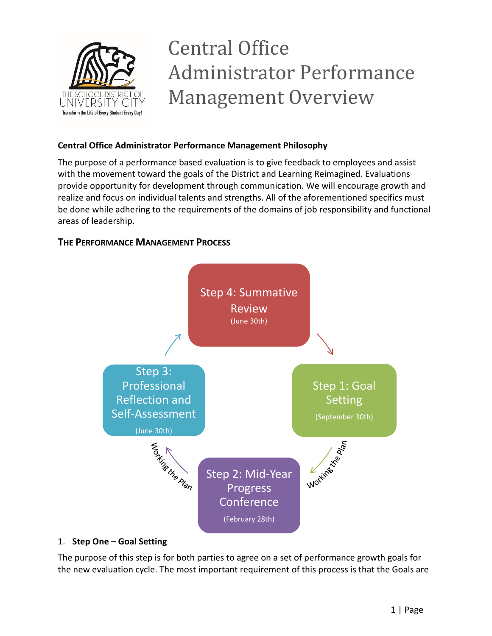

# Central Office Administrator Performance Management Overview

## **Central Office Administrator Performance Management Philosophy**

The purpose of a performance based evaluation is to give feedback to employees and assist with the movement toward the goals of the District and Learning Reimagined. Evaluations provide opportunity for development through communication. We will encourage growth and realize and focus on individual talents and strengths. All of the aforementioned specifics must be done while adhering to the requirements of the domains of job responsibility and functional areas of leadership.

## **THE PERFORMANCE MANAGEMENT PROCESS**



### 1. **Step One – Goal Setting**

The purpose of this step is for both parties to agree on a set of performance growth goals for the new evaluation cycle. The most important requirement of this process is that the Goals are